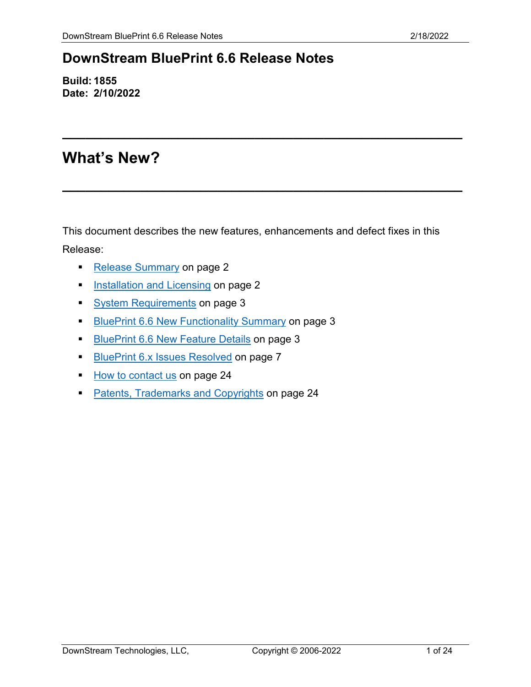## **DownStream BluePrint 6.6 Release Notes**

**Build: 1855 Date: 2/10/2022**

# **What's New?**

This document describes the new features, enhancements and defect fixes in this Release:

**\_\_\_\_\_\_\_\_\_\_\_\_\_\_\_\_\_\_\_\_\_\_\_\_\_\_\_\_\_\_\_\_\_\_\_\_\_\_\_\_\_\_\_\_\_\_\_\_\_\_\_\_**

**\_\_\_\_\_\_\_\_\_\_\_\_\_\_\_\_\_\_\_\_\_\_\_\_\_\_\_\_\_\_\_\_\_\_\_\_\_\_\_\_\_\_\_\_\_\_\_\_\_\_\_\_**

- [Release Summary](#page-1-0) on page 2
- **[Installation and Licensing](#page-1-1) on page 2**
- [System Requirements](#page-1-2) on page 3
- BluePrint 6.6 [New Functionality Summary](#page-2-0) on page 3
- **BluePrint 6.6 [New Feature Details](#page-2-1) on page 3**
- **BluePrint 6.x [Issues Resolved](#page-6-0) on page 7**
- [How to contact us](#page-23-0) on page 24
- **[Patents, Trademarks and Copyrights](#page-23-1) on page 24**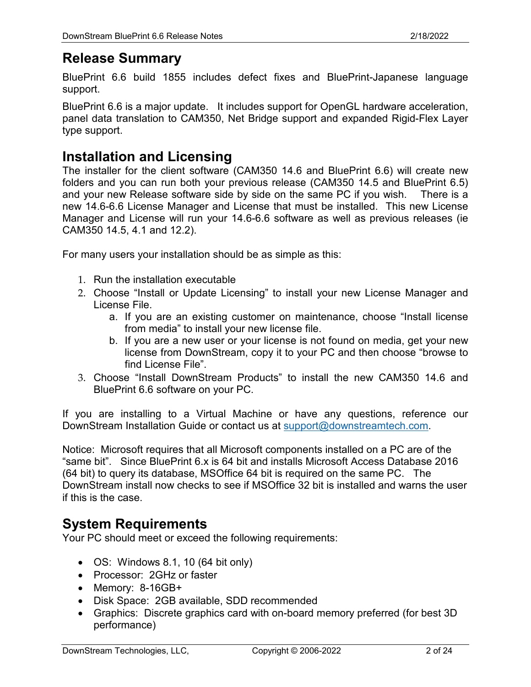# <span id="page-1-0"></span>**Release Summary**

BluePrint 6.6 build 1855 includes defect fixes and BluePrint-Japanese language support.

BluePrint 6.6 is a major update. It includes support for OpenGL hardware acceleration, panel data translation to CAM350, Net Bridge support and expanded Rigid-Flex Layer type support.

## <span id="page-1-1"></span>**Installation and Licensing**

The installer for the client software (CAM350 14.6 and BluePrint 6.6) will create new folders and you can run both your previous release (CAM350 14.5 and BluePrint 6.5) and your new Release software side by side on the same PC if you wish. There is a new 14.6-6.6 License Manager and License that must be installed. This new License Manager and License will run your 14.6-6.6 software as well as previous releases (ie CAM350 14.5, 4.1 and 12.2).

For many users your installation should be as simple as this:

- 1. Run the installation executable
- 2. Choose "Install or Update Licensing" to install your new License Manager and License File.
	- a. If you are an existing customer on maintenance, choose "Install license from media" to install your new license file.
	- b. If you are a new user or your license is not found on media, get your new license from DownStream, copy it to your PC and then choose "browse to find License File".
- 3. Choose "Install DownStream Products" to install the new CAM350 14.6 and BluePrint 6.6 software on your PC.

If you are installing to a Virtual Machine or have any questions, reference our DownStream Installation Guide or contact us at [support@downstreamtech.com.](mailto:support@downstreamtech.com)

Notice: Microsoft requires that all Microsoft components installed on a PC are of the "same bit". Since BluePrint 6.x is 64 bit and installs Microsoft Access Database 2016 (64 bit) to query its database, MSOffice 64 bit is required on the same PC. The DownStream install now checks to see if MSOffice 32 bit is installed and warns the user if this is the case.

# <span id="page-1-2"></span>**System Requirements**

Your PC should meet or exceed the following requirements:

- OS: Windows 8.1, 10 (64 bit only)
- Processor: 2GHz or faster
- Memory: 8-16GB+
- Disk Space: 2GB available, SDD recommended
- Graphics: Discrete graphics card with on-board memory preferred (for best 3D performance)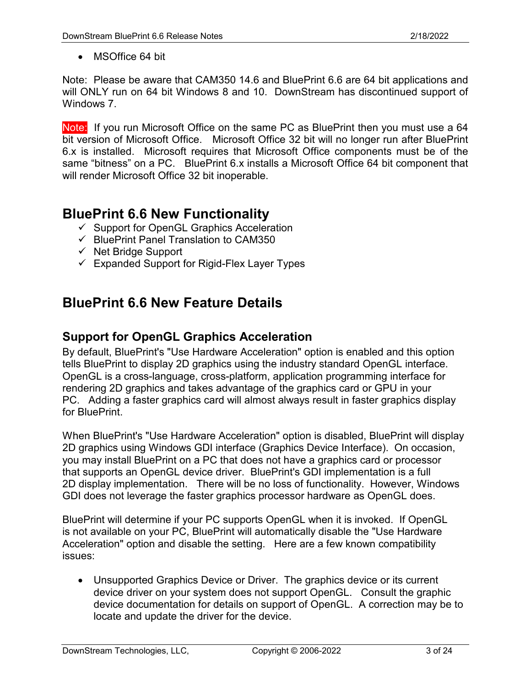• MSOffice 64 bit

Note: Please be aware that CAM350 14.6 and BluePrint 6.6 are 64 bit applications and will ONLY run on 64 bit Windows 8 and 10. DownStream has discontinued support of Windows 7.

Note: If you run Microsoft Office on the same PC as BluePrint then you must use a 64 bit version of Microsoft Office. Microsoft Office 32 bit will no longer run after BluePrint 6.x is installed. Microsoft requires that Microsoft Office components must be of the same "bitness" on a PC. BluePrint 6.x installs a Microsoft Office 64 bit component that will render Microsoft Office 32 bit inoperable.

## <span id="page-2-0"></span>**BluePrint 6.6 New Functionality**

- $\checkmark$  Support for OpenGL Graphics Acceleration
- $\checkmark$  BluePrint Panel Translation to CAM350
- $\checkmark$  Net Bridge Support
- $\checkmark$  Expanded Support for Rigid-Flex Layer Types

## <span id="page-2-1"></span>**BluePrint 6.6 New Feature Details**

### **Support for OpenGL Graphics Acceleration**

By default, BluePrint's "Use Hardware Acceleration" option is enabled and this option tells BluePrint to display 2D graphics using the industry standard OpenGL interface. OpenGL is a cross-language, cross-platform, application programming interface for rendering 2D graphics and takes advantage of the graphics card or GPU in your PC. Adding a faster graphics card will almost always result in faster graphics display for BluePrint.

When BluePrint's "Use Hardware Acceleration" option is disabled, BluePrint will display 2D graphics using Windows GDI interface (Graphics Device Interface). On occasion, you may install BluePrint on a PC that does not have a graphics card or processor that supports an OpenGL device driver. BluePrint's GDI implementation is a full 2D display implementation. There will be no loss of functionality. However, Windows GDI does not leverage the faster graphics processor hardware as OpenGL does.

BluePrint will determine if your PC supports OpenGL when it is invoked. If OpenGL is not available on your PC, BluePrint will automatically disable the "Use Hardware Acceleration" option and disable the setting. Here are a few known compatibility issues:

• Unsupported Graphics Device or Driver. The graphics device or its current device driver on your system does not support OpenGL. Consult the graphic device documentation for details on support of OpenGL. A correction may be to locate and update the driver for the device.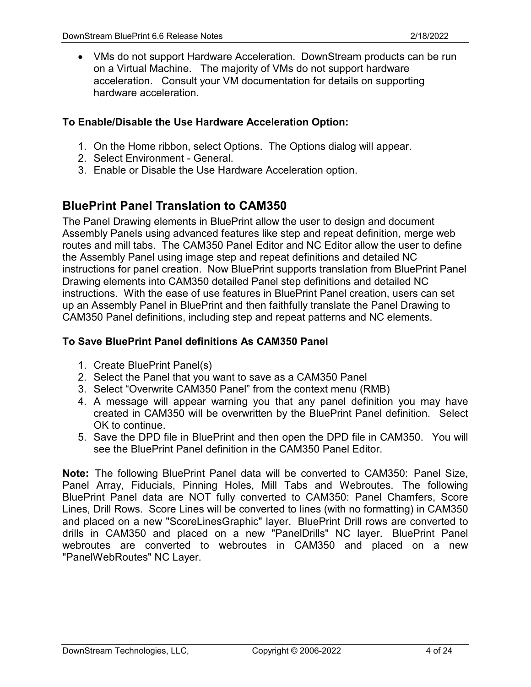• VMs do not support Hardware Acceleration. DownStream products can be run on a Virtual Machine. The majority of VMs do not support hardware acceleration. Consult your VM documentation for details on supporting hardware acceleration.

### **To Enable/Disable the Use Hardware Acceleration Option:**

- 1. On the Home ribbon, select Options. The Options dialog will appear.
- 2. Select Environment General.
- 3. Enable or Disable the Use Hardware Acceleration option.

### **BluePrint Panel Translation to CAM350**

The Panel Drawing elements in BluePrint allow the user to design and document Assembly Panels using advanced features like step and repeat definition, merge web routes and mill tabs. The CAM350 Panel Editor and NC Editor allow the user to define the Assembly Panel using image step and repeat definitions and detailed NC instructions for panel creation. Now BluePrint supports translation from BluePrint Panel Drawing elements into CAM350 detailed Panel step definitions and detailed NC instructions. With the ease of use features in BluePrint Panel creation, users can set up an Assembly Panel in BluePrint and then faithfully translate the Panel Drawing to CAM350 Panel definitions, including step and repeat patterns and NC elements.

#### **To Save BluePrint Panel definitions As CAM350 Panel**

- 1. Create BluePrint Panel(s)
- 2. Select the Panel that you want to save as a CAM350 Panel
- 3. Select "Overwrite CAM350 Panel" from the context menu (RMB)
- 4. A message will appear warning you that any panel definition you may have created in CAM350 will be overwritten by the BluePrint Panel definition. Select OK to continue.
- 5. Save the DPD file in BluePrint and then open the DPD file in CAM350. You will see the BluePrint Panel definition in the CAM350 Panel Editor.

**Note:** The following BluePrint Panel data will be converted to CAM350: Panel Size, Panel Array, Fiducials, Pinning Holes, Mill Tabs and Webroutes. The following BluePrint Panel data are NOT fully converted to CAM350: Panel Chamfers, Score Lines, Drill Rows. Score Lines will be converted to lines (with no formatting) in CAM350 and placed on a new "ScoreLinesGraphic" layer. BluePrint Drill rows are converted to drills in CAM350 and placed on a new "PanelDrills" NC layer. BluePrint Panel webroutes are converted to webroutes in CAM350 and placed on a new "PanelWebRoutes" NC Layer.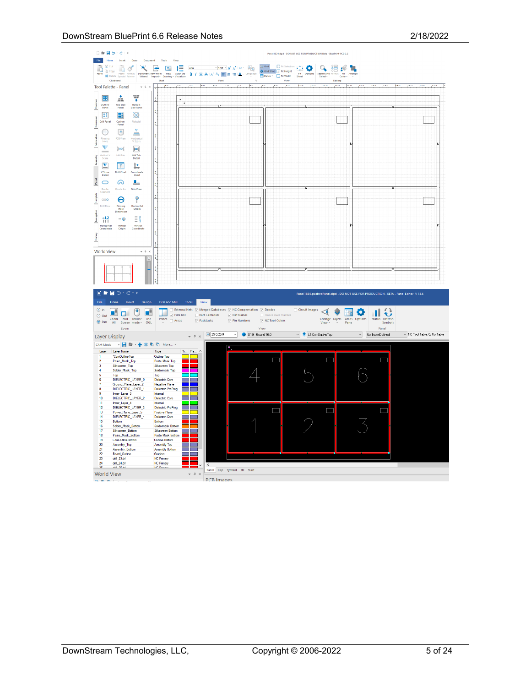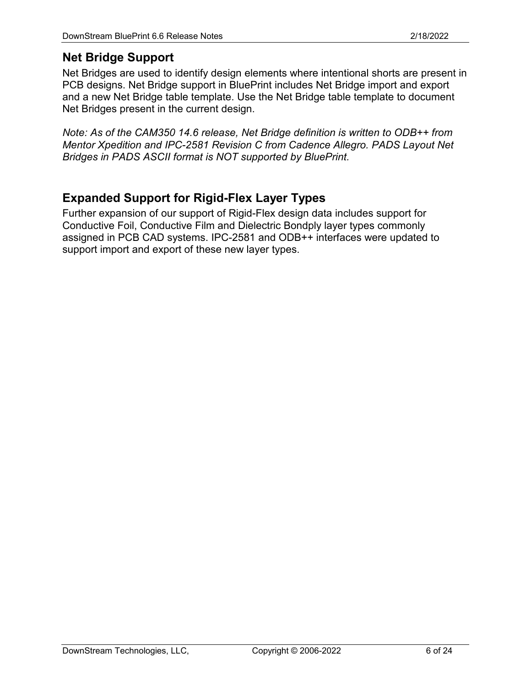## **Net Bridge Support**

Net Bridges are used to identify design elements where intentional shorts are present in PCB designs. Net Bridge support in BluePrint includes Net Bridge import and export and a new Net Bridge table template. Use the Net Bridge table template to document Net Bridges present in the current design.

*Note: As of the CAM350 14.6 release, Net Bridge definition is written to ODB++ from Mentor Xpedition and IPC-2581 Revision C from Cadence Allegro. PADS Layout Net Bridges in PADS ASCII format is NOT supported by BluePrint.*

## **Expanded Support for Rigid-Flex Layer Types**

Further expansion of our support of Rigid-Flex design data includes support for Conductive Foil, Conductive Film and Dielectric Bondply layer types commonly assigned in PCB CAD systems. IPC-2581 and ODB++ interfaces were updated to support import and export of these new layer types.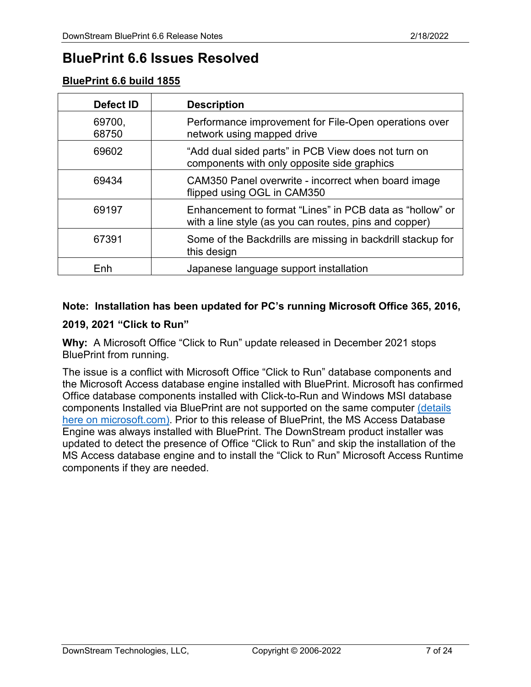# <span id="page-6-0"></span>**BluePrint 6.6 Issues Resolved**

### **BluePrint 6.6 build 1855**

| <b>Defect ID</b> | <b>Description</b>                                                                                                 |
|------------------|--------------------------------------------------------------------------------------------------------------------|
| 69700,<br>68750  | Performance improvement for File-Open operations over<br>network using mapped drive                                |
| 69602            | "Add dual sided parts" in PCB View does not turn on<br>components with only opposite side graphics                 |
| 69434            | CAM350 Panel overwrite - incorrect when board image<br>flipped using OGL in CAM350                                 |
| 69197            | Enhancement to format "Lines" in PCB data as "hollow" or<br>with a line style (as you can routes, pins and copper) |
| 67391            | Some of the Backdrills are missing in backdrill stackup for<br>this design                                         |
| Enh              | Japanese language support installation                                                                             |

#### **Note: Installation has been updated for PC's running Microsoft Office 365, 2016,**

#### **2019, 2021 "Click to Run"**

**Why:** A Microsoft Office "Click to Run" update released in December 2021 stops BluePrint from running.

The issue is a conflict with Microsoft Office "Click to Run" database components and the Microsoft Access database engine installed with BluePrint. Microsoft has confirmed Office database components installed with Click-to-Run and Windows MSI database components Installed via BluePrint are not supported on the same computer [\(details](https://support.microsoft.com/en-us/office/office-installed-with-click-to-run-and-windows-installer-on-same-computer-isn-t-supported-30775ef4-fa77-4f47-98fb-c5826a6926cd)  [here on microsoft.com\).](https://support.microsoft.com/en-us/office/office-installed-with-click-to-run-and-windows-installer-on-same-computer-isn-t-supported-30775ef4-fa77-4f47-98fb-c5826a6926cd) Prior to this release of BluePrint, the MS Access Database Engine was always installed with BluePrint. The DownStream product installer was updated to detect the presence of Office "Click to Run" and skip the installation of the MS Access database engine and to install the "Click to Run" Microsoft Access Runtime components if they are needed.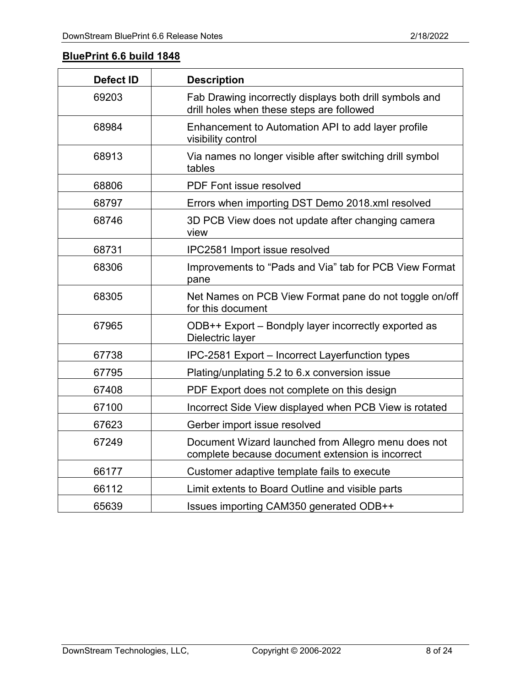| <b>Defect ID</b> | <b>Description</b>                                                                                      |
|------------------|---------------------------------------------------------------------------------------------------------|
| 69203            | Fab Drawing incorrectly displays both drill symbols and<br>drill holes when these steps are followed    |
| 68984            | Enhancement to Automation API to add layer profile<br>visibility control                                |
| 68913            | Via names no longer visible after switching drill symbol<br>tables                                      |
| 68806            | <b>PDF Font issue resolved</b>                                                                          |
| 68797            | Errors when importing DST Demo 2018.xml resolved                                                        |
| 68746            | 3D PCB View does not update after changing camera<br>view                                               |
| 68731            | IPC2581 Import issue resolved                                                                           |
| 68306            | Improvements to "Pads and Via" tab for PCB View Format<br>pane                                          |
| 68305            | Net Names on PCB View Format pane do not toggle on/off<br>for this document                             |
| 67965            | ODB++ Export - Bondply layer incorrectly exported as<br>Dielectric layer                                |
| 67738            | IPC-2581 Export - Incorrect Layerfunction types                                                         |
| 67795            | Plating/unplating 5.2 to 6.x conversion issue                                                           |
| 67408            | PDF Export does not complete on this design                                                             |
| 67100            | Incorrect Side View displayed when PCB View is rotated                                                  |
| 67623            | Gerber import issue resolved                                                                            |
| 67249            | Document Wizard launched from Allegro menu does not<br>complete because document extension is incorrect |
| 66177            | Customer adaptive template fails to execute                                                             |
| 66112            | Limit extents to Board Outline and visible parts                                                        |
| 65639            | Issues importing CAM350 generated ODB++                                                                 |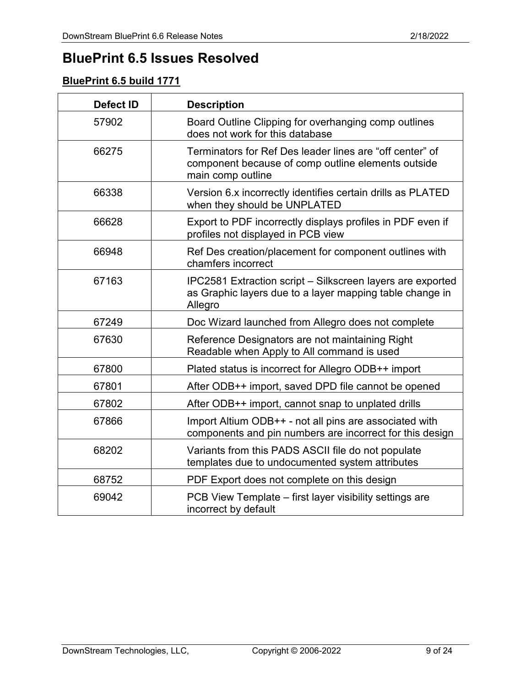# **BluePrint 6.5 Issues Resolved**

| <b>Defect ID</b> | <b>Description</b>                                                                                                                  |
|------------------|-------------------------------------------------------------------------------------------------------------------------------------|
| 57902            | Board Outline Clipping for overhanging comp outlines<br>does not work for this database                                             |
| 66275            | Terminators for Ref Des leader lines are "off center" of<br>component because of comp outline elements outside<br>main comp outline |
| 66338            | Version 6.x incorrectly identifies certain drills as PLATED<br>when they should be UNPLATED                                         |
| 66628            | Export to PDF incorrectly displays profiles in PDF even if<br>profiles not displayed in PCB view                                    |
| 66948            | Ref Des creation/placement for component outlines with<br>chamfers incorrect                                                        |
| 67163            | IPC2581 Extraction script - Silkscreen layers are exported<br>as Graphic layers due to a layer mapping table change in<br>Allegro   |
| 67249            | Doc Wizard launched from Allegro does not complete                                                                                  |
| 67630            | Reference Designators are not maintaining Right<br>Readable when Apply to All command is used                                       |
| 67800            | Plated status is incorrect for Allegro ODB++ import                                                                                 |
| 67801            | After ODB++ import, saved DPD file cannot be opened                                                                                 |
| 67802            | After ODB++ import, cannot snap to unplated drills                                                                                  |
| 67866            | Import Altium ODB++ - not all pins are associated with<br>components and pin numbers are incorrect for this design                  |
| 68202            | Variants from this PADS ASCII file do not populate<br>templates due to undocumented system attributes                               |
| 68752            | PDF Export does not complete on this design                                                                                         |
| 69042            | PCB View Template – first layer visibility settings are<br>incorrect by default                                                     |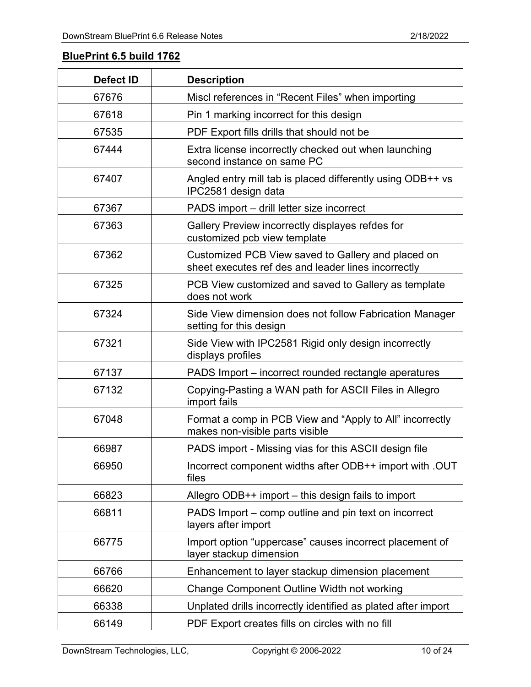| <b>Defect ID</b> | <b>Description</b>                                                                                        |
|------------------|-----------------------------------------------------------------------------------------------------------|
| 67676            | Miscl references in "Recent Files" when importing                                                         |
| 67618            | Pin 1 marking incorrect for this design                                                                   |
| 67535            | PDF Export fills drills that should not be                                                                |
| 67444            | Extra license incorrectly checked out when launching<br>second instance on same PC                        |
| 67407            | Angled entry mill tab is placed differently using ODB++ vs<br>IPC2581 design data                         |
| 67367            | PADS import - drill letter size incorrect                                                                 |
| 67363            | Gallery Preview incorrectly displayes refdes for<br>customized pcb view template                          |
| 67362            | Customized PCB View saved to Gallery and placed on<br>sheet executes ref des and leader lines incorrectly |
| 67325            | PCB View customized and saved to Gallery as template<br>does not work                                     |
| 67324            | Side View dimension does not follow Fabrication Manager<br>setting for this design                        |
| 67321            | Side View with IPC2581 Rigid only design incorrectly<br>displays profiles                                 |
| 67137            | PADS Import – incorrect rounded rectangle aperatures                                                      |
| 67132            | Copying-Pasting a WAN path for ASCII Files in Allegro<br>import fails                                     |
| 67048            | Format a comp in PCB View and "Apply to All" incorrectly<br>makes non-visible parts visible               |
| 66987            | PADS import - Missing vias for this ASCII design file                                                     |
| 66950            | Incorrect component widths after ODB++ import with .OUT<br>files                                          |
| 66823            | Allegro ODB++ import - this design fails to import                                                        |
| 66811            | PADS Import – comp outline and pin text on incorrect<br>layers after import                               |
| 66775            | Import option "uppercase" causes incorrect placement of<br>layer stackup dimension                        |
| 66766            | Enhancement to layer stackup dimension placement                                                          |
| 66620            | Change Component Outline Width not working                                                                |
| 66338            | Unplated drills incorrectly identified as plated after import                                             |
| 66149            | PDF Export creates fills on circles with no fill                                                          |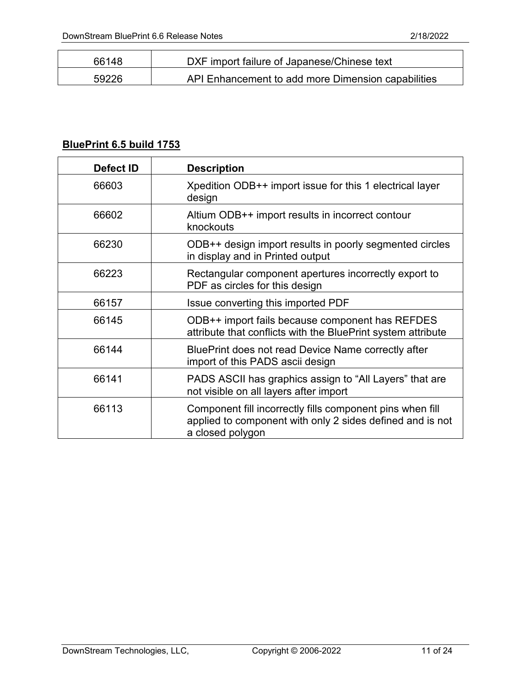| 66148 | DXF import failure of Japanese/Chinese text        |
|-------|----------------------------------------------------|
| 59226 | API Enhancement to add more Dimension capabilities |

| Defect ID | <b>Description</b>                                                                                                                         |
|-----------|--------------------------------------------------------------------------------------------------------------------------------------------|
| 66603     | Xpedition ODB++ import issue for this 1 electrical layer<br>design                                                                         |
| 66602     | Altium ODB++ import results in incorrect contour<br>knockouts                                                                              |
| 66230     | ODB++ design import results in poorly segmented circles<br>in display and in Printed output                                                |
| 66223     | Rectangular component apertures incorrectly export to<br>PDF as circles for this design                                                    |
| 66157     | Issue converting this imported PDF                                                                                                         |
| 66145     | ODB++ import fails because component has REFDES<br>attribute that conflicts with the BluePrint system attribute                            |
| 66144     | BluePrint does not read Device Name correctly after<br>import of this PADS ascii design                                                    |
| 66141     | PADS ASCII has graphics assign to "All Layers" that are<br>not visible on all layers after import                                          |
| 66113     | Component fill incorrectly fills component pins when fill<br>applied to component with only 2 sides defined and is not<br>a closed polygon |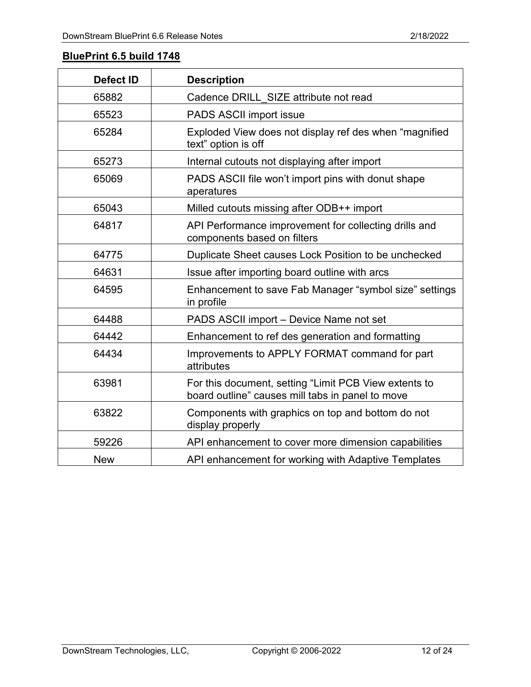| <b>Defect ID</b> | <b>Description</b>                                                                                        |
|------------------|-----------------------------------------------------------------------------------------------------------|
| 65882            | Cadence DRILL SIZE attribute not read                                                                     |
| 65523            | PADS ASCII import issue                                                                                   |
| 65284            | Exploded View does not display ref des when "magnified<br>text" option is off                             |
| 65273            | Internal cutouts not displaying after import                                                              |
| 65069            | PADS ASCII file won't import pins with donut shape<br>aperatures                                          |
| 65043            | Milled cutouts missing after ODB++ import                                                                 |
| 64817            | API Performance improvement for collecting drills and<br>components based on filters                      |
| 64775            | Duplicate Sheet causes Lock Position to be unchecked                                                      |
| 64631            | Issue after importing board outline with arcs                                                             |
| 64595            | Enhancement to save Fab Manager "symbol size" settings<br>in profile                                      |
| 64488            | PADS ASCII import - Device Name not set                                                                   |
| 64442            | Enhancement to ref des generation and formatting                                                          |
| 64434            | Improvements to APPLY FORMAT command for part<br>attributes                                               |
| 63981            | For this document, setting "Limit PCB View extents to<br>board outline" causes mill tabs in panel to move |
| 63822            | Components with graphics on top and bottom do not<br>display properly                                     |
| 59226            | API enhancement to cover more dimension capabilities                                                      |
| <b>New</b>       | API enhancement for working with Adaptive Templates                                                       |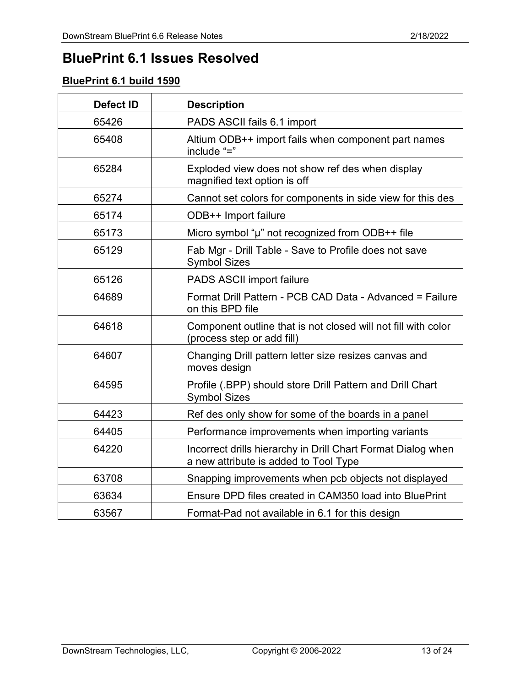# **BluePrint 6.1 Issues Resolved**

| Defect ID | <b>Description</b>                                                                                    |
|-----------|-------------------------------------------------------------------------------------------------------|
| 65426     | PADS ASCII fails 6.1 import                                                                           |
| 65408     | Altium ODB++ import fails when component part names<br>include " $=$ "                                |
| 65284     | Exploded view does not show ref des when display<br>magnified text option is off                      |
| 65274     | Cannot set colors for components in side view for this des                                            |
| 65174     | ODB++ Import failure                                                                                  |
| 65173     | Micro symbol "µ" not recognized from ODB++ file                                                       |
| 65129     | Fab Mgr - Drill Table - Save to Profile does not save<br><b>Symbol Sizes</b>                          |
| 65126     | PADS ASCII import failure                                                                             |
| 64689     | Format Drill Pattern - PCB CAD Data - Advanced = Failure<br>on this BPD file                          |
| 64618     | Component outline that is not closed will not fill with color<br>(process step or add fill)           |
| 64607     | Changing Drill pattern letter size resizes canvas and<br>moves design                                 |
| 64595     | Profile (.BPP) should store Drill Pattern and Drill Chart<br><b>Symbol Sizes</b>                      |
| 64423     | Ref des only show for some of the boards in a panel                                                   |
| 64405     | Performance improvements when importing variants                                                      |
| 64220     | Incorrect drills hierarchy in Drill Chart Format Dialog when<br>a new attribute is added to Tool Type |
| 63708     | Snapping improvements when pcb objects not displayed                                                  |
| 63634     | Ensure DPD files created in CAM350 load into BluePrint                                                |
| 63567     | Format-Pad not available in 6.1 for this design                                                       |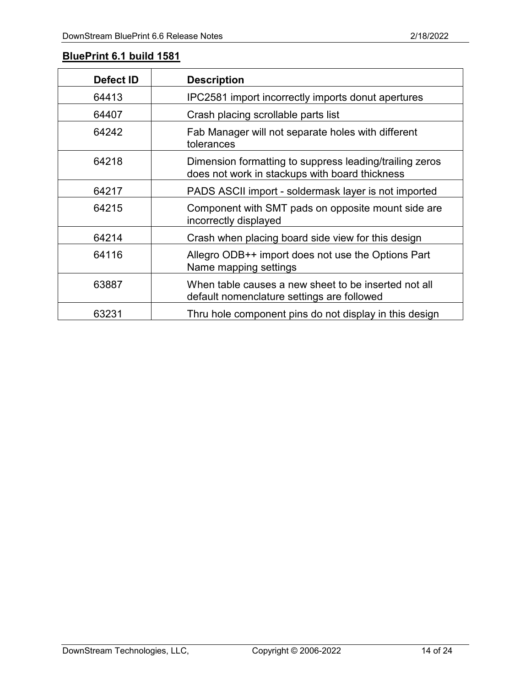| Defect ID | <b>Description</b>                                                                                        |
|-----------|-----------------------------------------------------------------------------------------------------------|
| 64413     | IPC2581 import incorrectly imports donut apertures                                                        |
| 64407     | Crash placing scrollable parts list                                                                       |
| 64242     | Fab Manager will not separate holes with different<br>tolerances                                          |
| 64218     | Dimension formatting to suppress leading/trailing zeros<br>does not work in stackups with board thickness |
| 64217     | PADS ASCII import - soldermask layer is not imported                                                      |
| 64215     | Component with SMT pads on opposite mount side are<br>incorrectly displayed                               |
| 64214     | Crash when placing board side view for this design                                                        |
| 64116     | Allegro ODB++ import does not use the Options Part<br>Name mapping settings                               |
| 63887     | When table causes a new sheet to be inserted not all<br>default nomenclature settings are followed        |
| 63231     | Thru hole component pins do not display in this design                                                    |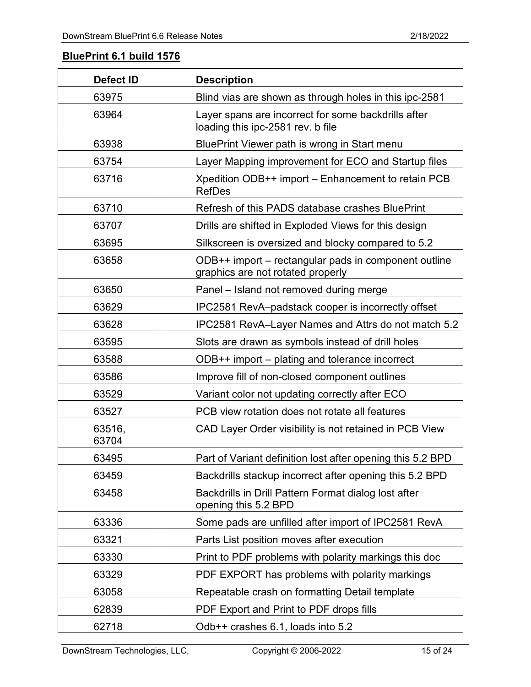| <b>Defect ID</b> | <b>Description</b>                                                                        |
|------------------|-------------------------------------------------------------------------------------------|
| 63975            | Blind vias are shown as through holes in this ipc-2581                                    |
| 63964            | Layer spans are incorrect for some backdrills after<br>loading this ipc-2581 rev. b file  |
| 63938            | BluePrint Viewer path is wrong in Start menu                                              |
| 63754            | Layer Mapping improvement for ECO and Startup files                                       |
| 63716            | Xpedition ODB++ import – Enhancement to retain PCB<br><b>RefDes</b>                       |
| 63710            | Refresh of this PADS database crashes BluePrint                                           |
| 63707            | Drills are shifted in Exploded Views for this design                                      |
| 63695            | Silkscreen is oversized and blocky compared to 5.2                                        |
| 63658            | ODB++ import - rectangular pads in component outline<br>graphics are not rotated properly |
| 63650            | Panel - Island not removed during merge                                                   |
| 63629            | IPC2581 RevA-padstack cooper is incorrectly offset                                        |
| 63628            | IPC2581 RevA-Layer Names and Attrs do not match 5.2                                       |
| 63595            | Slots are drawn as symbols instead of drill holes                                         |
| 63588            | ODB++ import - plating and tolerance incorrect                                            |
| 63586            | Improve fill of non-closed component outlines                                             |
| 63529            | Variant color not updating correctly after ECO                                            |
| 63527            | PCB view rotation does not rotate all features                                            |
| 63516,<br>63704  | CAD Layer Order visibility is not retained in PCB View                                    |
| 63495            | Part of Variant definition lost after opening this 5.2 BPD                                |
| 63459            | Backdrills stackup incorrect after opening this 5.2 BPD                                   |
| 63458            | Backdrills in Drill Pattern Format dialog lost after<br>opening this 5.2 BPD              |
| 63336            | Some pads are unfilled after import of IPC2581 RevA                                       |
| 63321            | Parts List position moves after execution                                                 |
| 63330            | Print to PDF problems with polarity markings this doc                                     |
| 63329            | PDF EXPORT has problems with polarity markings                                            |
| 63058            | Repeatable crash on formatting Detail template                                            |
| 62839            | PDF Export and Print to PDF drops fills                                                   |
| 62718            | Odb++ crashes 6.1, loads into 5.2                                                         |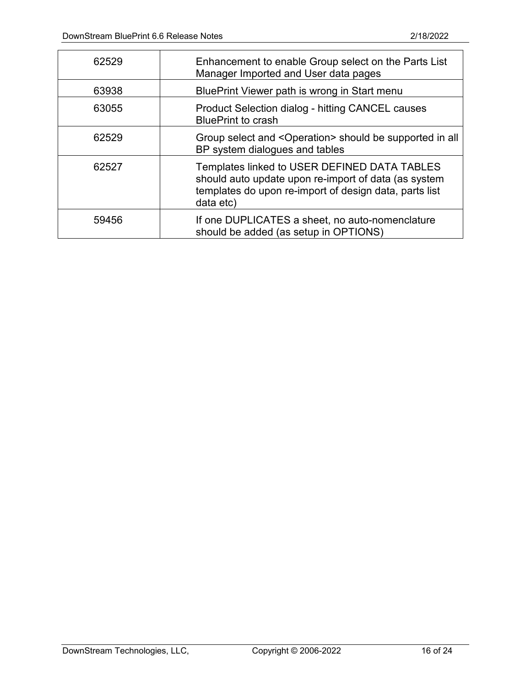| 62529 | Enhancement to enable Group select on the Parts List<br>Manager Imported and User data pages                                                                                |
|-------|-----------------------------------------------------------------------------------------------------------------------------------------------------------------------------|
| 63938 | BluePrint Viewer path is wrong in Start menu                                                                                                                                |
| 63055 | <b>Product Selection dialog - hitting CANCEL causes</b><br><b>BluePrint to crash</b>                                                                                        |
| 62529 | Group select and <operation> should be supported in all<br/>BP system dialogues and tables</operation>                                                                      |
| 62527 | Templates linked to USER DEFINED DATA TABLES<br>should auto update upon re-import of data (as system<br>templates do upon re-import of design data, parts list<br>data etc) |
| 59456 | If one DUPLICATES a sheet, no auto-nomenclature<br>should be added (as setup in OPTIONS)                                                                                    |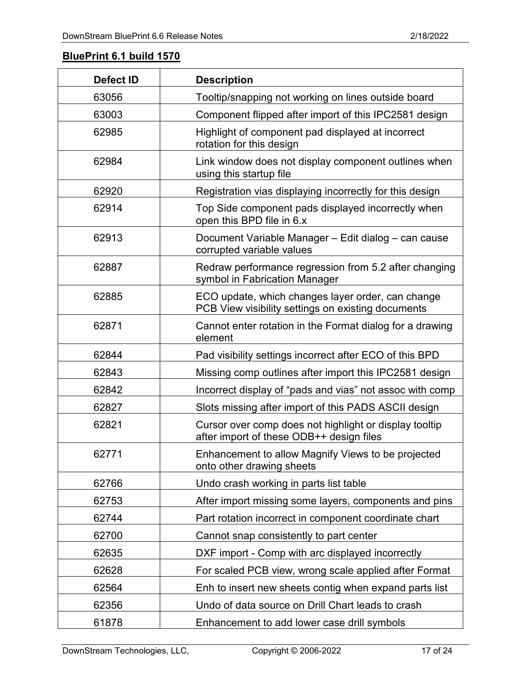| <b>Defect ID</b> | <b>Description</b>                                                                                      |
|------------------|---------------------------------------------------------------------------------------------------------|
| 63056            | Tooltip/snapping not working on lines outside board                                                     |
| 63003            | Component flipped after import of this IPC2581 design                                                   |
| 62985            | Highlight of component pad displayed at incorrect<br>rotation for this design                           |
| 62984            | Link window does not display component outlines when<br>using this startup file                         |
| 62920            | Registration vias displaying incorrectly for this design                                                |
| 62914            | Top Side component pads displayed incorrectly when<br>open this BPD file in 6.x                         |
| 62913            | Document Variable Manager - Edit dialog - can cause<br>corrupted variable values                        |
| 62887            | Redraw performance regression from 5.2 after changing<br>symbol in Fabrication Manager                  |
| 62885            | ECO update, which changes layer order, can change<br>PCB View visibility settings on existing documents |
| 62871            | Cannot enter rotation in the Format dialog for a drawing<br>element                                     |
| 62844            | Pad visibility settings incorrect after ECO of this BPD                                                 |
| 62843            | Missing comp outlines after import this IPC2581 design                                                  |
| 62842            | Incorrect display of "pads and vias" not assoc with comp                                                |
| 62827            | Slots missing after import of this PADS ASCII design                                                    |
| 62821            | Cursor over comp does not highlight or display tooltip<br>after import of these ODB++ design files      |
| 62771            | Enhancement to allow Magnify Views to be projected<br>onto other drawing sheets                         |
| 62766            | Undo crash working in parts list table                                                                  |
| 62753            | After import missing some layers, components and pins                                                   |
| 62744            | Part rotation incorrect in component coordinate chart                                                   |
| 62700            | Cannot snap consistently to part center                                                                 |
| 62635            | DXF import - Comp with arc displayed incorrectly                                                        |
| 62628            | For scaled PCB view, wrong scale applied after Format                                                   |
| 62564            | Enh to insert new sheets contig when expand parts list                                                  |
| 62356            | Undo of data source on Drill Chart leads to crash                                                       |
| 61878            | Enhancement to add lower case drill symbols                                                             |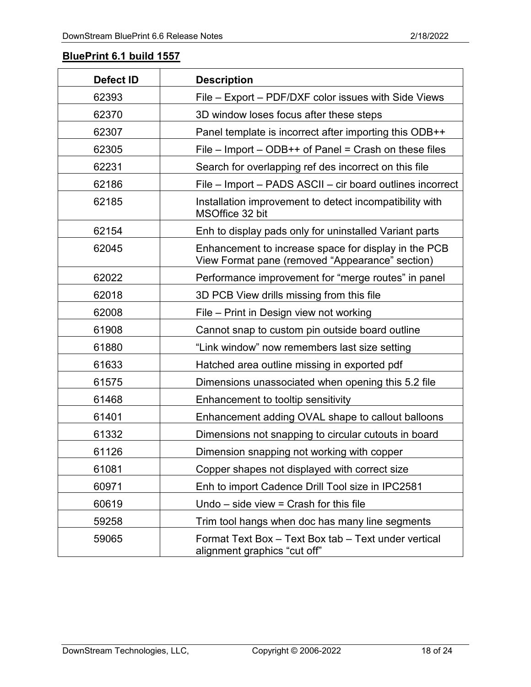| <b>Defect ID</b> | <b>Description</b>                                                                                      |
|------------------|---------------------------------------------------------------------------------------------------------|
| 62393            | File – Export – PDF/DXF color issues with Side Views                                                    |
| 62370            | 3D window loses focus after these steps                                                                 |
| 62307            | Panel template is incorrect after importing this ODB++                                                  |
| 62305            | File – Import – ODB++ of Panel = Crash on these files                                                   |
| 62231            | Search for overlapping ref des incorrect on this file                                                   |
| 62186            | File - Import - PADS ASCII - cir board outlines incorrect                                               |
| 62185            | Installation improvement to detect incompatibility with<br>MSOffice 32 bit                              |
| 62154            | Enh to display pads only for uninstalled Variant parts                                                  |
| 62045            | Enhancement to increase space for display in the PCB<br>View Format pane (removed "Appearance" section) |
| 62022            | Performance improvement for "merge routes" in panel                                                     |
| 62018            | 3D PCB View drills missing from this file                                                               |
| 62008            | File – Print in Design view not working                                                                 |
| 61908            | Cannot snap to custom pin outside board outline                                                         |
| 61880            | "Link window" now remembers last size setting                                                           |
| 61633            | Hatched area outline missing in exported pdf                                                            |
| 61575            | Dimensions unassociated when opening this 5.2 file                                                      |
| 61468            | Enhancement to tooltip sensitivity                                                                      |
| 61401            | Enhancement adding OVAL shape to callout balloons                                                       |
| 61332            | Dimensions not snapping to circular cutouts in board                                                    |
| 61126            | Dimension snapping not working with copper                                                              |
| 61081            | Copper shapes not displayed with correct size                                                           |
| 60971            | Enh to import Cadence Drill Tool size in IPC2581                                                        |
| 60619            | Undo $-$ side view = Crash for this file                                                                |
| 59258            | Trim tool hangs when doc has many line segments                                                         |
| 59065            | Format Text Box - Text Box tab - Text under vertical<br>alignment graphics "cut off"                    |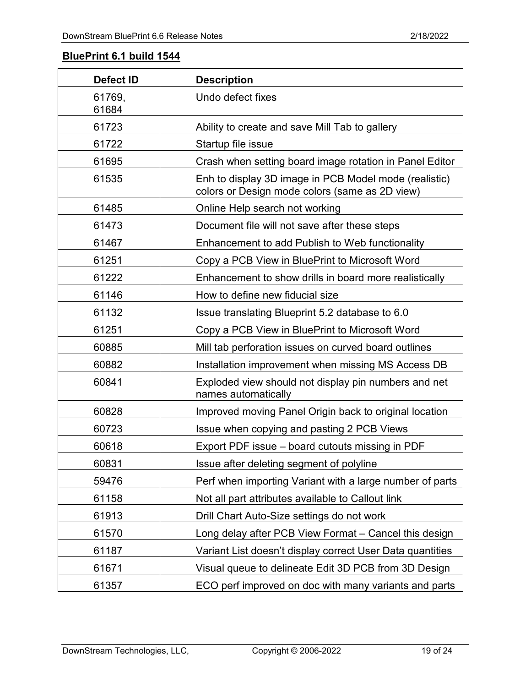| Defect ID       | <b>Description</b>                                                                                      |
|-----------------|---------------------------------------------------------------------------------------------------------|
| 61769,<br>61684 | Undo defect fixes                                                                                       |
| 61723           | Ability to create and save Mill Tab to gallery                                                          |
| 61722           | Startup file issue                                                                                      |
| 61695           | Crash when setting board image rotation in Panel Editor                                                 |
| 61535           | Enh to display 3D image in PCB Model mode (realistic)<br>colors or Design mode colors (same as 2D view) |
| 61485           | Online Help search not working                                                                          |
| 61473           | Document file will not save after these steps                                                           |
| 61467           | Enhancement to add Publish to Web functionality                                                         |
| 61251           | Copy a PCB View in BluePrint to Microsoft Word                                                          |
| 61222           | Enhancement to show drills in board more realistically                                                  |
| 61146           | How to define new fiducial size                                                                         |
| 61132           | Issue translating Blueprint 5.2 database to 6.0                                                         |
| 61251           | Copy a PCB View in BluePrint to Microsoft Word                                                          |
| 60885           | Mill tab perforation issues on curved board outlines                                                    |
| 60882           | Installation improvement when missing MS Access DB                                                      |
| 60841           | Exploded view should not display pin numbers and net<br>names automatically                             |
| 60828           | Improved moving Panel Origin back to original location                                                  |
| 60723           | Issue when copying and pasting 2 PCB Views                                                              |
| 60618           | Export PDF issue - board cutouts missing in PDF                                                         |
| 60831           | Issue after deleting segment of polyline                                                                |
| 59476           | Perf when importing Variant with a large number of parts                                                |
| 61158           | Not all part attributes available to Callout link                                                       |
| 61913           | Drill Chart Auto-Size settings do not work                                                              |
| 61570           | Long delay after PCB View Format - Cancel this design                                                   |
| 61187           | Variant List doesn't display correct User Data quantities                                               |
| 61671           | Visual queue to delineate Edit 3D PCB from 3D Design                                                    |
| 61357           | ECO perf improved on doc with many variants and parts                                                   |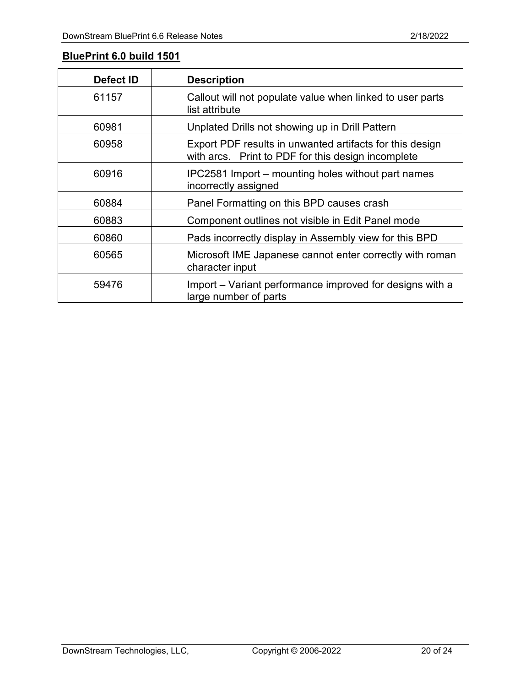| Defect ID | <b>Description</b>                                                                                             |
|-----------|----------------------------------------------------------------------------------------------------------------|
| 61157     | Callout will not populate value when linked to user parts<br>list attribute                                    |
| 60981     | Unplated Drills not showing up in Drill Pattern                                                                |
| 60958     | Export PDF results in unwanted artifacts for this design<br>with arcs. Print to PDF for this design incomplete |
| 60916     | IPC2581 Import – mounting holes without part names<br>incorrectly assigned                                     |
| 60884     | Panel Formatting on this BPD causes crash                                                                      |
| 60883     | Component outlines not visible in Edit Panel mode                                                              |
| 60860     | Pads incorrectly display in Assembly view for this BPD                                                         |
| 60565     | Microsoft IME Japanese cannot enter correctly with roman<br>character input                                    |
| 59476     | Import – Variant performance improved for designs with a<br>large number of parts                              |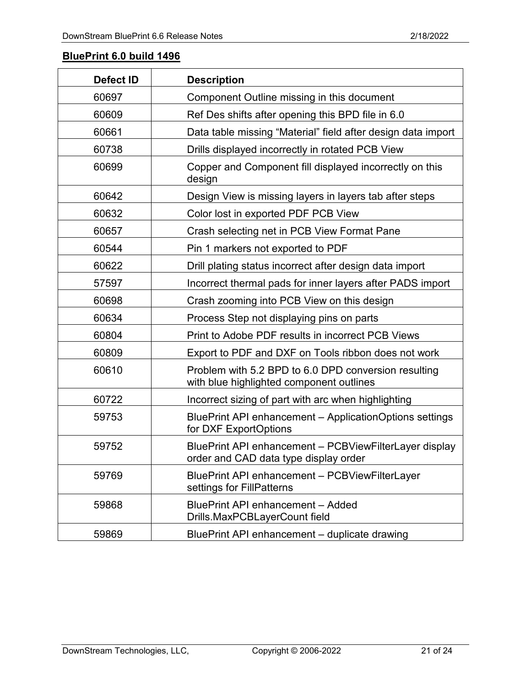| <b>Defect ID</b> | <b>Description</b>                                                                               |
|------------------|--------------------------------------------------------------------------------------------------|
| 60697            | Component Outline missing in this document                                                       |
| 60609            | Ref Des shifts after opening this BPD file in 6.0                                                |
| 60661            | Data table missing "Material" field after design data import                                     |
| 60738            | Drills displayed incorrectly in rotated PCB View                                                 |
| 60699            | Copper and Component fill displayed incorrectly on this<br>design                                |
| 60642            | Design View is missing layers in layers tab after steps                                          |
| 60632            | Color lost in exported PDF PCB View                                                              |
| 60657            | Crash selecting net in PCB View Format Pane                                                      |
| 60544            | Pin 1 markers not exported to PDF                                                                |
| 60622            | Drill plating status incorrect after design data import                                          |
| 57597            | Incorrect thermal pads for inner layers after PADS import                                        |
| 60698            | Crash zooming into PCB View on this design                                                       |
| 60634            | Process Step not displaying pins on parts                                                        |
| 60804            | Print to Adobe PDF results in incorrect PCB Views                                                |
| 60809            | Export to PDF and DXF on Tools ribbon does not work                                              |
| 60610            | Problem with 5.2 BPD to 6.0 DPD conversion resulting<br>with blue highlighted component outlines |
| 60722            | Incorrect sizing of part with arc when highlighting                                              |
| 59753            | BluePrint API enhancement - ApplicationOptions settings<br>for DXF ExportOptions                 |
| 59752            | BluePrint API enhancement - PCBViewFilterLayer display<br>order and CAD data type display order  |
| 59769            | BluePrint API enhancement - PCBViewFilterLayer<br>settings for FillPatterns                      |
| 59868            | BluePrint API enhancement - Added<br>Drills.MaxPCBLayerCount field                               |
| 59869            | BluePrint API enhancement - duplicate drawing                                                    |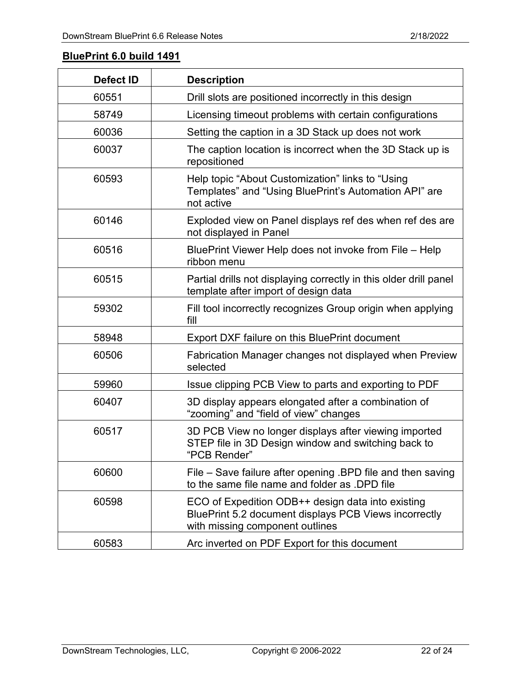| <b>Defect ID</b> | <b>Description</b>                                                                                                                            |
|------------------|-----------------------------------------------------------------------------------------------------------------------------------------------|
| 60551            | Drill slots are positioned incorrectly in this design                                                                                         |
| 58749            | Licensing timeout problems with certain configurations                                                                                        |
| 60036            | Setting the caption in a 3D Stack up does not work                                                                                            |
| 60037            | The caption location is incorrect when the 3D Stack up is<br>repositioned                                                                     |
| 60593            | Help topic "About Customization" links to "Using<br>Templates" and "Using BluePrint's Automation API" are<br>not active                       |
| 60146            | Exploded view on Panel displays ref des when ref des are<br>not displayed in Panel                                                            |
| 60516            | BluePrint Viewer Help does not invoke from File - Help<br>ribbon menu                                                                         |
| 60515            | Partial drills not displaying correctly in this older drill panel<br>template after import of design data                                     |
| 59302            | Fill tool incorrectly recognizes Group origin when applying<br>fill                                                                           |
| 58948            | Export DXF failure on this BluePrint document                                                                                                 |
| 60506            | Fabrication Manager changes not displayed when Preview<br>selected                                                                            |
| 59960            | Issue clipping PCB View to parts and exporting to PDF                                                                                         |
| 60407            | 3D display appears elongated after a combination of<br>"zooming" and "field of view" changes                                                  |
| 60517            | 3D PCB View no longer displays after viewing imported<br>STEP file in 3D Design window and switching back to<br>"PCB Render"                  |
| 60600            | File - Save failure after opening .BPD file and then saving<br>to the same file name and folder as .DPD file                                  |
| 60598            | ECO of Expedition ODB++ design data into existing<br>BluePrint 5.2 document displays PCB Views incorrectly<br>with missing component outlines |
| 60583            | Arc inverted on PDF Export for this document                                                                                                  |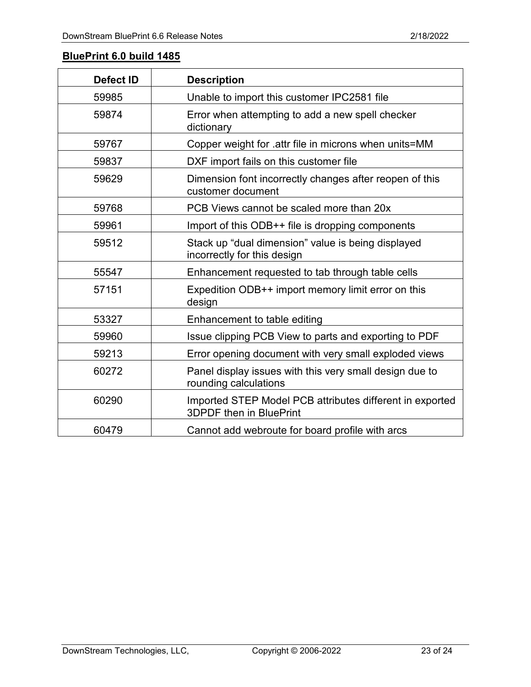| <b>Defect ID</b> | <b>Description</b>                                                                         |
|------------------|--------------------------------------------------------------------------------------------|
| 59985            | Unable to import this customer IPC2581 file                                                |
| 59874            | Error when attempting to add a new spell checker<br>dictionary                             |
| 59767            | Copper weight for .attr file in microns when units=MM                                      |
| 59837            | DXF import fails on this customer file                                                     |
| 59629            | Dimension font incorrectly changes after reopen of this<br>customer document               |
| 59768            | PCB Views cannot be scaled more than 20x                                                   |
| 59961            | Import of this ODB++ file is dropping components                                           |
| 59512            | Stack up "dual dimension" value is being displayed<br>incorrectly for this design          |
| 55547            | Enhancement requested to tab through table cells                                           |
| 57151            | Expedition ODB++ import memory limit error on this<br>design                               |
| 53327            | Enhancement to table editing                                                               |
| 59960            | Issue clipping PCB View to parts and exporting to PDF                                      |
| 59213            | Error opening document with very small exploded views                                      |
| 60272            | Panel display issues with this very small design due to<br>rounding calculations           |
| 60290            | Imported STEP Model PCB attributes different in exported<br><b>3DPDF then in BluePrint</b> |
| 60479            | Cannot add webroute for board profile with arcs                                            |